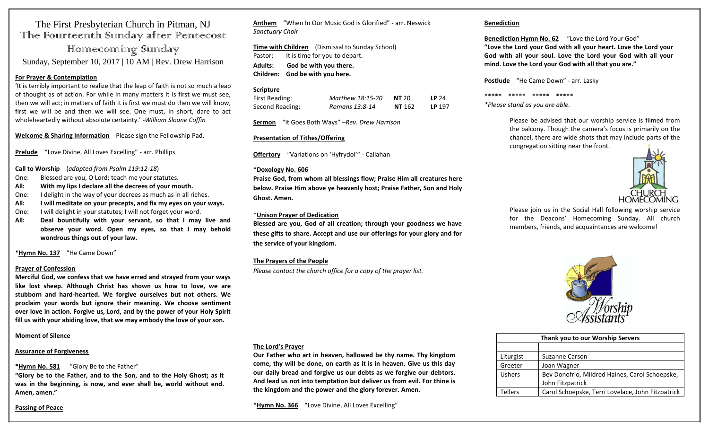# The First Presbyterian Church in Pitman, NJ The Fourteenth Sunday after Pentecost

Homecoming Sunday Sunday, September 10, 2017 | 10 AM | Rev. Drew Harrison

#### **For Prayer & Contemplation**

'It is terribly important to realize that the leap of faith is not so much a leap of thought as of action. For while in many matters it is first we must see, then we will act; in matters of faith it is first we must do then we will know, first we will be and then we will see. One must, in short, dare to act wholeheartedly without absolute certainty.' -*William Sloane Coffin*

**Welcome & Sharing Information** Please sign the Fellowship Pad.

**Prelude** "Love Divine, All Loves Excelling" - arr. Phillips

**Call to Worship** (*adapted from Psalm 119:12-18*)

- One: Blessed are you, O Lord; teach me your statutes.
- **All: With my lips I declare all the decrees of your mouth.**
- One: I delight in the way of your decrees as much as in all riches.
- **All: I will meditate on your precepts, and fix my eyes on your ways.**
- One: I will delight in your statutes; I will not forget your word.
- **All: Deal bountifully with your servant, so that I may live and observe your word. Open my eyes, so that I may behold wondrous things out of your law.**

# **\*Hymn No. 137** "He Came Down"

#### **Prayer of Confession**

**Merciful God, we confess that we have erred and strayed from your ways like lost sheep. Although Christ has shown us how to love, we are stubborn and hard-hearted. We forgive ourselves but not others. We proclaim your words but ignore their meaning. We choose sentiment over love in action. Forgive us, Lord, and by the power of your Holy Spirit fill us with your abiding love, that we may embody the love of your son.** 

#### **Moment of Silence**

#### **Assurance of Forgiveness**

#### **\*Hymn No. 581** "Glory Be to the Father"

**"Glory be to the Father, and to the Son, and to the Holy Ghost; as it was in the beginning, is now, and ever shall be, world without end. Amen, amen."**

#### **Passing of Peace**

**Anthem** "When In Our Music God is Glorified" - arr. Neswick *Sanctuary Choir* 

**Time with Children** (Dismissal to Sunday School) Pastor: It is time for you to depart. **Adults: God be with you there.**

**Children: God be with you here.**

# **Scripture**

| First Reading:  | Matthew 18:15-20 | <b>NT 20</b>  | LP $24$ |
|-----------------|------------------|---------------|---------|
| Second Reading: | Romans 13:8-14   | <b>NT</b> 162 | LP 197  |

**Sermon** "It Goes Both Ways" –*Rev. Drew Harrison*

## **Presentation of Tithes/Offering**

**Offertory** "Variations on 'Hyfrydol'" - Callahan

#### **\*Doxology No. 606**

**Praise God, from whom all blessings flow; Praise Him all creatures here below. Praise Him above ye heavenly host; Praise Father, Son and Holy Ghost. Amen.**

## \***Unison Prayer of Dedication**

**Blessed are you, God of all creation; through your goodness we have these gifts to share. Accept and use our offerings for your glory and for the service of your kingdom.** 

# **The Prayers of the People**

*Please contact the church office for a copy of the prayer list.*

#### **The Lord's Prayer**

**Our Father who art in heaven, hallowed be thy name. Thy kingdom come, thy will be done, on earth as it is in heaven. Give us this day our daily bread and forgive us our debts as we forgive our debtors. And lead us not into temptation but deliver us from evil. For thine is the kingdom and the power and the glory forever. Amen.** 

**\*Hymn No. 366** "Love Divine, All Loves Excelling"

## **Benediction**

# **Benediction Hymn No. 62** "Love the Lord Your God"

**"Love the Lord your God with all your heart. Love the Lord your God with all your soul. Love the Lord your God with all your mind. Love the Lord your God with all that you are."**

**Postlude** "He Came Down" - arr. Lasky

\*\*\*\*\* \*\*\*\*\* \*\*\*\*\* \*\*\*\*\*

*\*Please stand as you are able.*

Please be advised that our worship service is filmed from the balcony. Though the camera's focus is primarily on the chancel, there are wide shots that may include parts of the congregation sitting near the front.



Please join us in the Social Hall following worship service for the Deacons' Homecoming Sunday. All church members, friends, and acquaintances are welcome!



| Thank you to our Worship Servers |                                                   |  |
|----------------------------------|---------------------------------------------------|--|
|                                  |                                                   |  |
| Liturgist                        | Suzanne Carson                                    |  |
| Greeter                          | Joan Wagner                                       |  |
| <b>Ushers</b>                    | Bev Donofrio, Mildred Haines, Carol Schoepske,    |  |
|                                  | John Fitzpatrick                                  |  |
| Tellers                          | Carol Schoepske, Terri Lovelace, John Fitzpatrick |  |